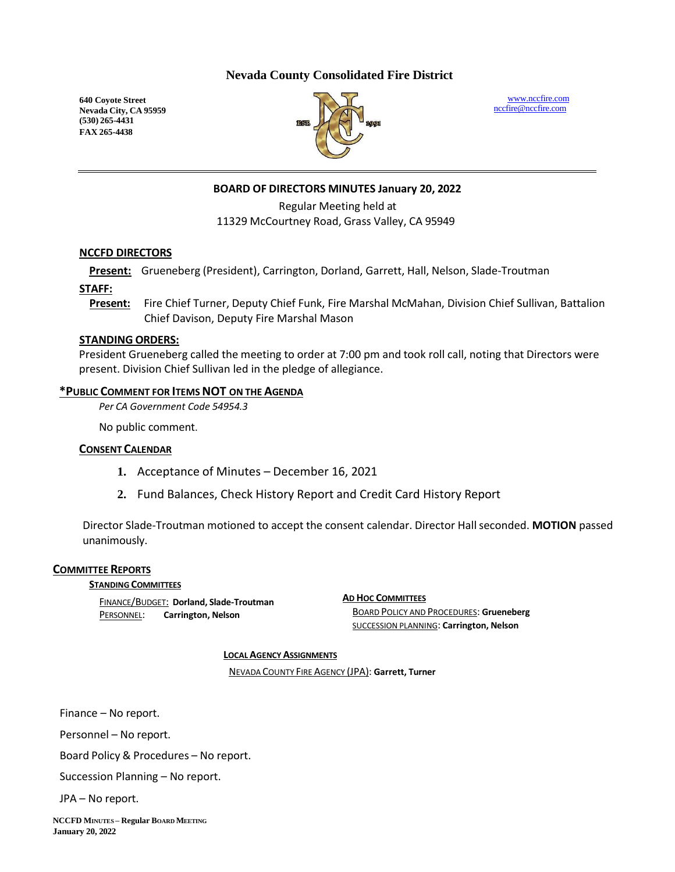# **Nevada County Consolidated Fire District**

**640 Coyote Street Nevada City, CA 95959 (530) 265-4431 FAX 265-4438**



[www.nccfire.com](http://www.nccfire.com/) [nccfire@nccfire.com](mailto:nccfire@nccfire.com)

# **BOARD OF DIRECTORS MINUTES January 20, 2022**

Regular Meeting held at 11329 McCourtney Road, Grass Valley, CA 95949

#### **NCCFD DIRECTORS**

**Present:** Grueneberg (President), Carrington, Dorland, Garrett, Hall, Nelson, Slade-Troutman

**STAFF:**

**Present:** Fire Chief Turner, Deputy Chief Funk, Fire Marshal McMahan, Division Chief Sullivan, Battalion Chief Davison, Deputy Fire Marshal Mason

#### **STANDING ORDERS:**

President Grueneberg called the meeting to order at 7:00 pm and took roll call, noting that Directors were present. Division Chief Sullivan led in the pledge of allegiance.

#### **\*PUBLIC COMMENT FOR ITEMSNOT ON THE AGENDA**

*Per CA Government Code 54954.3*

No public comment.

# **CONSENT CALENDAR**

- **1.** Acceptance of Minutes December 16, 2021
- **2.** Fund Balances, Check History Report and Credit Card History Report

Director Slade-Troutman motioned to accept the consent calendar. Director Hall seconded. MOTION passed unanimously.

#### **COMMITTEE REPORTS**

#### **STANDING COMMITTEES**

FINANCE/BUDGET: **Dorland, Slade-Troutman** PERSONNEL: **Carrington, Nelson**

**AD HOC COMMITTEES** BOARD POLICY AND PROCEDURES: **Grueneberg** SUCCESSION PLANNING: **Carrington, Nelson**

#### **LOCAL AGENCY ASSIGNMENTS**

NEVADA COUNTY FIRE AGENCY (JPA): **Garrett, Turner**

Finance – No report.

Personnel – No report.

Board Policy & Procedures – No report.

Succession Planning – No report.

JPA – No report.

**NCCFD MINUTES – Regular BOARDMEETING January 20, 2022**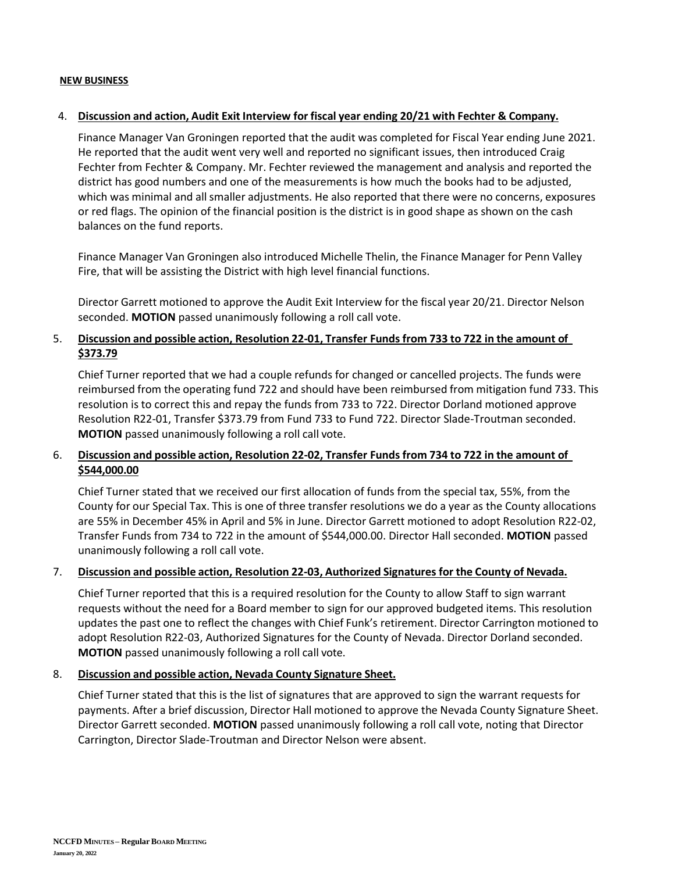#### **NEW BUSINESS**

#### 4. **Discussion and action, Audit Exit Interview for fiscal year ending 20/21 with Fechter & Company.**

Finance Manager Van Groningen reported that the audit was completed for Fiscal Year ending June 2021. He reported that the audit went very well and reported no significant issues, then introduced Craig Fechter from Fechter & Company. Mr. Fechter reviewed the management and analysis and reported the district has good numbers and one of the measurements is how much the books had to be adjusted, which was minimal and allsmaller adjustments. He also reported that there were no concerns, exposures or red flags. The opinion of the financial position is the district is in good shape as shown on the cash balances on the fund reports.

Finance Manager Van Groningen also introduced Michelle Thelin, the Finance Manager for Penn Valley Fire, that will be assisting the District with high level financial functions.

Director Garrett motioned to approve the Audit Exit Interview for the fiscal year 20/21. Director Nelson seconded. **MOTION** passed unanimously following a roll call vote.

# 5. **Discussion and possible action, Resolution 22-01, Transfer Funds from 733 to 722 in the amount of \$373.79**

Chief Turner reported that we had a couple refunds for changed or cancelled projects. The funds were reimbursed from the operating fund 722 and should have been reimbursed from mitigation fund 733. This resolution is to correct this and repay the funds from 733 to 722. Director Dorland motioned approve Resolution R22-01, Transfer \$373.79 from Fund 733 to Fund 722. Director Slade-Troutman seconded. **MOTION** passed unanimously following a roll call vote.

# 6. **Discussion and possible action, Resolution 22-02, Transfer Funds from 734 to 722 in the amount of \$544,000.00**

Chief Turner stated that we received our first allocation of funds from the special tax, 55%, from the County for our Special Tax. This is one of three transfer resolutions we do a year as the County allocations are 55% in December 45% in April and 5% in June. Director Garrett motioned to adopt Resolution R22-02, Transfer Funds from 734 to 722 in the amount of \$544,000.00. Director Hall seconded. **MOTION** passed unanimously following a roll call vote.

#### 7. **Discussion and possible action, Resolution 22-03, Authorized Signatures for the County of Nevada.**

Chief Turner reported that this is a required resolution for the County to allow Staff to sign warrant requests without the need for a Board member to sign for our approved budgeted items. This resolution updates the past one to reflect the changes with Chief Funk's retirement. Director Carrington motioned to adopt Resolution R22-03, Authorized Signatures for the County of Nevada. Director Dorland seconded. **MOTION** passed unanimously following a roll call vote.

#### 8. **Discussion and possible action, Nevada County Signature Sheet.**

Chief Turner stated that this is the list of signatures that are approved to sign the warrant requests for payments. After a brief discussion, Director Hall motioned to approve the Nevada County Signature Sheet. Director Garrett seconded. **MOTION** passed unanimously following a roll call vote, noting that Director Carrington, Director Slade-Troutman and Director Nelson were absent.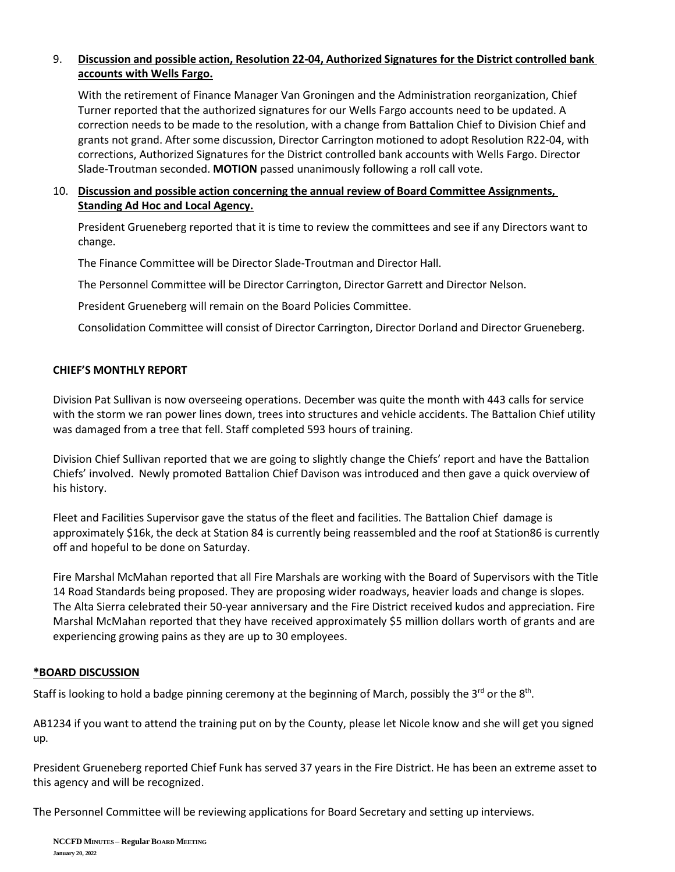# 9. **Discussion and possible action, Resolution 22-04, Authorized Signatures for the District controlled bank accounts with Wells Fargo.**

With the retirement of Finance Manager Van Groningen and the Administration reorganization, Chief Turner reported that the authorized signatures for our Wells Fargo accounts need to be updated. A correction needs to be made to the resolution, with a change from Battalion Chief to Division Chief and grants not grand. After some discussion, Director Carrington motioned to adopt Resolution R22-04, with corrections, Authorized Signatures for the District controlled bank accounts with Wells Fargo. Director Slade-Troutman seconded. **MOTION** passed unanimously following a roll call vote.

# 10. **Discussion and possible action concerning the annual review of Board Committee Assignments, Standing Ad Hoc and Local Agency.**

President Grueneberg reported that it is time to review the committees and see if any Directors want to change.

The Finance Committee will be Director Slade-Troutman and Director Hall.

The Personnel Committee will be Director Carrington, Director Garrett and Director Nelson.

President Grueneberg will remain on the Board Policies Committee.

Consolidation Committee will consist of Director Carrington, Director Dorland and Director Grueneberg.

# **CHIEF'S MONTHLY REPORT**

Division Pat Sullivan is now overseeing operations. December was quite the month with 443 calls for service with the storm we ran power lines down, trees into structures and vehicle accidents. The Battalion Chief utility was damaged from a tree that fell. Staff completed 593 hours of training.

Division Chief Sullivan reported that we are going to slightly change the Chiefs' report and have the Battalion Chiefs' involved. Newly promoted Battalion Chief Davison was introduced and then gave a quick overview of his history.

Fleet and Facilities Supervisor gave the status of the fleet and facilities. The Battalion Chief damage is approximately \$16k, the deck at Station 84 is currently being reassembled and the roof at Station86 is currently off and hopeful to be done on Saturday.

Fire Marshal McMahan reported that all Fire Marshals are working with the Board of Supervisors with the Title 14 Road Standards being proposed. They are proposing wider roadways, heavier loads and change is slopes. The Alta Sierra celebrated their 50-year anniversary and the Fire District received kudos and appreciation. Fire Marshal McMahan reported that they have received approximately \$5 million dollars worth of grants and are experiencing growing pains as they are up to 30 employees.

# **\*BOARD DISCUSSION**

Staff is looking to hold a badge pinning ceremony at the beginning of March, possibly the 3<sup>rd</sup> or the 8<sup>th</sup>.

AB1234 if you want to attend the training put on by the County, please let Nicole know and she will get you signed up.

President Grueneberg reported Chief Funk has served 37 years in the Fire District. He has been an extreme asset to this agency and will be recognized.

The Personnel Committee will be reviewing applications for Board Secretary and setting up interviews.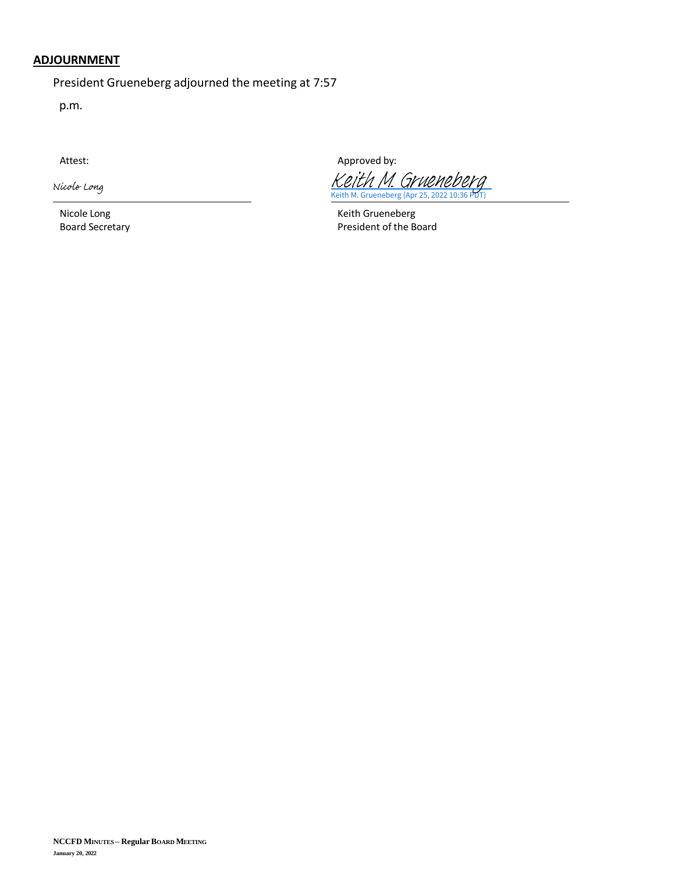# **ADJOURNMENT**

President Grueneberg adjourned the meeting at 7:57

p.m.

Nicole Long

Nicole Long **Keith Grueneberg Keith Grueneberg** 

Attest: Attest: According to the Approved by:

Keith M. Grueneberg (Apr 25, 2022 10:36 [Keith M. Grueneberg](https://na1.documents.adobe.com/verifier?tx=CBJCHBCAABAA2e-bh8g1Bj-3rN4pehmeVAUHF75hqPhS)

Board Secretary **President of the Board**